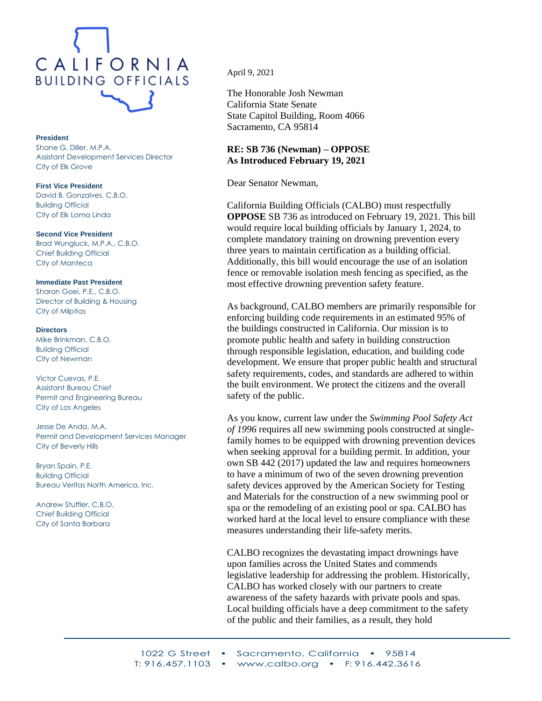

## **President**

Shane G. Diller, M.P.A. Assistant Development Services Director City of Elk Grove

**First Vice President** David B. Gonzalves, C.B.O. Building Official City of Elk Loma Linda

**Second Vice President** Brad Wungluck, M.P.A., C.B.O. Chief Building Official City of Manteca

**Immediate Past President** Sharon Goei, P.E., C.B.O. Director of Building & Housing City of Milpitas

**Directors** Mike Brinkman, C.B.O. Building Official City of Newman

Victor Cuevas, P.E. Assistant Bureau Chief Permit and Engineering Bureau City of Los Angeles

Jesse De Anda, M.A. Permit and Development Services Manager City of Beverly Hills

Bryan Spain, P.E. Building Official Bureau Veritas North America, Inc.

Andrew Stuffler, C.B.O. Chief Building Official City of Santa Barbara

April 9, 2021

The Honorable Josh Newman California State Senate State Capitol Building, Room 4066 Sacramento, CA 95814

## **RE: SB 736 (Newman) – OPPOSE As Introduced February 19, 2021**

Dear Senator Newman,

California Building Officials (CALBO) must respectfully **OPPOSE** SB 736 as introduced on February 19, 2021. This bill would require local building officials by January 1, 2024, to complete mandatory training on drowning prevention every three years to maintain certification as a building official. Additionally, this bill would encourage the use of an isolation fence or removable isolation mesh fencing as specified, as the most effective drowning prevention safety feature.

As background, CALBO members are primarily responsible for enforcing building code requirements in an estimated 95% of the buildings constructed in California. Our mission is to promote public health and safety in building construction through responsible legislation, education, and building code development. We ensure that proper public health and structural safety requirements, codes, and standards are adhered to within the built environment. We protect the citizens and the overall safety of the public.

As you know, current law under the *Swimming Pool Safety Act of 1996* requires all new swimming pools constructed at singlefamily homes to be equipped with drowning prevention devices when seeking approval for a building permit. In addition, your own SB 442 (2017) updated the law and requires homeowners to have a minimum of two of the seven drowning prevention safety devices approved by the American Society for Testing and Materials for the construction of a new swimming pool or spa or the remodeling of an existing pool or spa. CALBO has worked hard at the local level to ensure compliance with these measures understanding their life-safety merits.

CALBO recognizes the devastating impact drownings have upon families across the United States and commends legislative leadership for addressing the problem. Historically, CALBO has worked closely with our partners to create awareness of the safety hazards with private pools and spas. Local building officials have a deep commitment to the safety of the public and their families, as a result, they hold